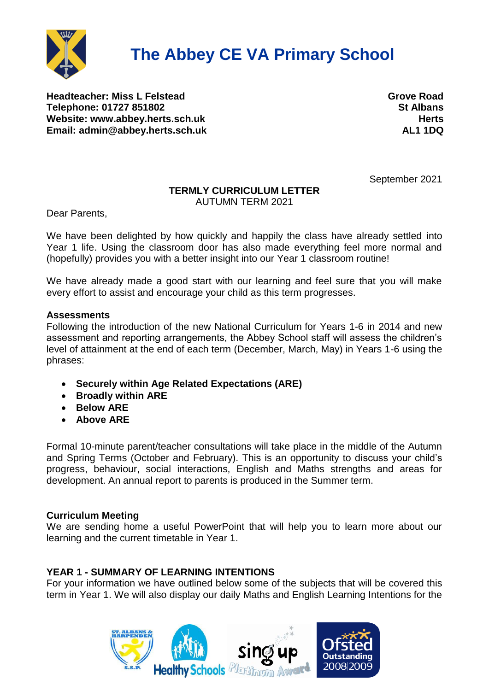

**Headteacher: Miss L Felstead Grove Road Telephone: 01727 851802 Website:** [www.abbey.herts.sch.uk](http://www.abbey.herts.sch.uk/) **Media and Serverse Exercise Exercise Additional Media Additional Media Additional Media Additional Media Additional Media Additional Media Additional Media Additional Media Additional Med Email: [admin@abbey.herts.sch.uk](mailto:admin@abbey.herts.sch.uk) AL1 1DQ**

September 2021

# **TERMLY CURRICULUM LETTER**

AUTUMN TERM 2021

Dear Parents,

We have been delighted by how quickly and happily the class have already settled into Year 1 life. Using the classroom door has also made everything feel more normal and (hopefully) provides you with a better insight into our Year 1 classroom routine!

We have already made a good start with our learning and feel sure that you will make every effort to assist and encourage your child as this term progresses.

## **Assessments**

Following the introduction of the new National Curriculum for Years 1-6 in 2014 and new assessment and reporting arrangements, the Abbey School staff will assess the children's level of attainment at the end of each term (December, March, May) in Years 1-6 using the phrases:

- **Securely within Age Related Expectations (ARE)**
- **Broadly within ARE**
- **Below ARE**
- **Above ARE**

Formal 10-minute parent/teacher consultations will take place in the middle of the Autumn and Spring Terms (October and February). This is an opportunity to discuss your child's progress, behaviour, social interactions, English and Maths strengths and areas for development. An annual report to parents is produced in the Summer term.

# **Curriculum Meeting**

We are sending home a useful PowerPoint that will help you to learn more about our learning and the current timetable in Year 1.

# **YEAR 1 - SUMMARY OF LEARNING INTENTIONS**

For your information we have outlined below some of the subjects that will be covered this term in Year 1. We will also display our daily Maths and English Learning Intentions for the

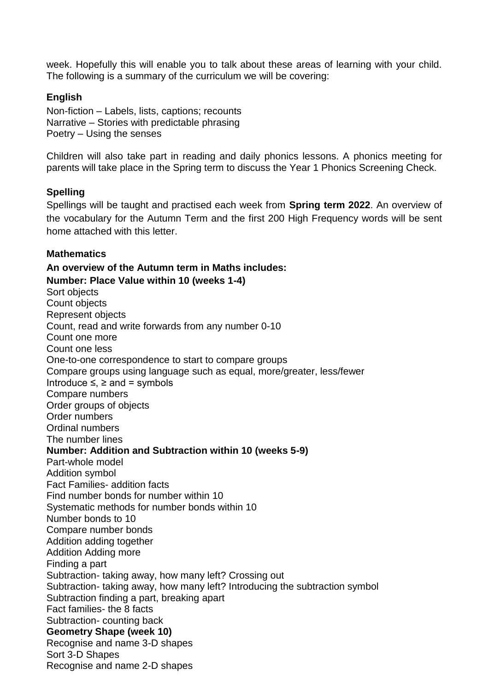week. Hopefully this will enable you to talk about these areas of learning with your child. The following is a summary of the curriculum we will be covering:

## **English**

Non-fiction – Labels, lists, captions; recounts Narrative – Stories with predictable phrasing Poetry – Using the senses

Children will also take part in reading and daily phonics lessons. A phonics meeting for parents will take place in the Spring term to discuss the Year 1 Phonics Screening Check.

## **Spelling**

Spellings will be taught and practised each week from **Spring term 2022**. An overview of the vocabulary for the Autumn Term and the first 200 High Frequency words will be sent home attached with this letter.

## **Mathematics**

**An overview of the Autumn term in Maths includes: Number: Place Value within 10 (weeks 1-4)** Sort objects Count objects Represent objects Count, read and write forwards from any number 0-10 Count one more Count one less One-to-one correspondence to start to compare groups Compare groups using language such as equal, more/greater, less/fewer Introduce  $\leq \geq$  and = symbols Compare numbers Order groups of objects Order numbers Ordinal numbers The number lines **Number: Addition and Subtraction within 10 (weeks 5-9)** Part-whole model Addition symbol Fact Families- addition facts Find number bonds for number within 10 Systematic methods for number bonds within 10 Number bonds to 10 Compare number bonds Addition adding together Addition Adding more Finding a part Subtraction- taking away, how many left? Crossing out Subtraction- taking away, how many left? Introducing the subtraction symbol Subtraction finding a part, breaking apart Fact families- the 8 facts Subtraction- counting back **Geometry Shape (week 10)** Recognise and name 3-D shapes Sort 3-D Shapes Recognise and name 2-D shapes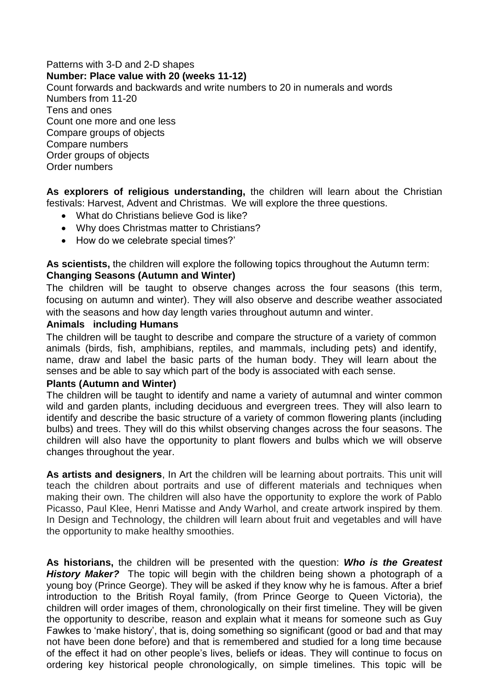#### Patterns with 3-D and 2-D shapes **Number: Place value with 20 (weeks 11-12)** Count forwards and backwards and write numbers to 20 in numerals and words Numbers from 11-20 Tens and ones Count one more and one less Compare groups of objects Compare numbers Order groups of objects Order numbers

**As explorers of religious understanding,** the children will learn about the Christian festivals: Harvest, Advent and Christmas. We will explore the three questions.

- What do Christians believe God is like?
- Why does Christmas matter to Christians?
- How do we celebrate special times?'

**As scientists,** the children will explore the following topics throughout the Autumn term: **Changing Seasons (Autumn and Winter)**

The children will be taught to observe changes across the four seasons (this term, focusing on autumn and winter). They will also observe and describe weather associated with the seasons and how day length varies throughout autumn and winter.

#### **Animals including Humans**

The children will be taught to describe and compare the structure of a variety of common animals (birds, fish, amphibians, reptiles, and mammals, including pets) and identify, name, draw and label the basic parts of the human body. They will learn about the senses and be able to say which part of the body is associated with each sense.

#### **Plants (Autumn and Winter)**

The children will be taught to identify and name a variety of autumnal and winter common wild and garden plants, including deciduous and evergreen trees. They will also learn to identify and describe the basic structure of a variety of common flowering plants (including bulbs) and trees. They will do this whilst observing changes across the four seasons. The children will also have the opportunity to plant flowers and bulbs which we will observe changes throughout the year.

**As artists and designers**, In Art the children will be learning about portraits. This unit will teach the children about portraits and use of different materials and techniques when making their own. The children will also have the opportunity to explore the work of Pablo Picasso, Paul Klee, Henri Matisse and Andy Warhol, and create artwork inspired by them. In Design and Technology, the children will learn about fruit and vegetables and will have the opportunity to make healthy smoothies.

**As historians,** the children will be presented with the question: *Who is the Greatest History Maker?* The topic will begin with the children being shown a photograph of a young boy (Prince George). They will be asked if they know why he is famous. After a brief introduction to the British Royal family, (from Prince George to Queen Victoria), the children will order images of them, chronologically on their first timeline. They will be given the opportunity to describe, reason and explain what it means for someone such as Guy Fawkes to 'make history', that is, doing something so significant (good or bad and that may not have been done before) and that is remembered and studied for a long time because of the effect it had on other people's lives, beliefs or ideas. They will continue to focus on ordering key historical people chronologically, on simple timelines. This topic will be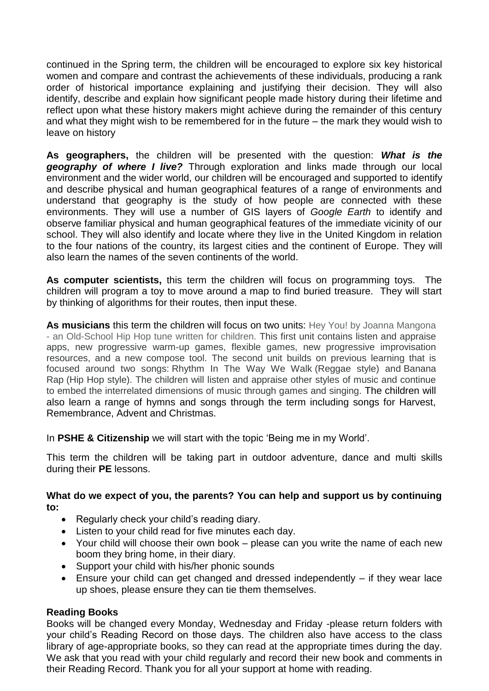continued in the Spring term, the children will be encouraged to explore six key historical women and compare and contrast the achievements of these individuals, producing a rank order of historical importance explaining and justifying their decision. They will also identify, describe and explain how significant people made history during their lifetime and reflect upon what these history makers might achieve during the remainder of this century and what they might wish to be remembered for in the future – the mark they would wish to leave on history

**As geographers,** the children will be presented with the question: *What is the geography of where I live?* Through exploration and links made through our local environment and the wider world, our children will be encouraged and supported to identify and describe physical and human geographical features of a range of environments and understand that geography is the study of how people are connected with these environments. They will use a number of GIS layers of *Google Earth* to identify and observe familiar physical and human geographical features of the immediate vicinity of our school. They will also identify and locate where they live in the United Kingdom in relation to the four nations of the country, its largest cities and the continent of Europe. They will also learn the names of the seven continents of the world.

**As computer scientists,** this term the children will focus on programming toys. The children will program a toy to move around a map to find buried treasure. They will start by thinking of algorithms for their routes, then input these.

**As musicians** this term the children will focus on two units: Hey You! by Joanna Mangona - an Old-School Hip Hop tune written for children. This first unit contains listen and appraise apps, new progressive warm-up games, flexible games, new progressive improvisation resources, and a new compose tool. The second unit builds on previous learning that is focused around two songs: Rhythm In The Way We Walk (Reggae style) and Banana Rap (Hip Hop style). The children will listen and appraise other styles of music and continue to embed the interrelated dimensions of music through games and singing. The children will also learn a range of hymns and songs through the term including songs for Harvest, Remembrance, Advent and Christmas.

In **PSHE & Citizenship** we will start with the topic 'Being me in my World'.

This term the children will be taking part in outdoor adventure, dance and multi skills during their **PE** lessons.

**What do we expect of you, the parents? You can help and support us by continuing to:**

- Regularly check your child's reading diary.
- Listen to your child read for five minutes each day.
- Your child will choose their own book please can you write the name of each new boom they bring home, in their diary.
- Support your child with his/her phonic sounds
- Ensure your child can get changed and dressed independently if they wear lace up shoes, please ensure they can tie them themselves.

# **Reading Books**

Books will be changed every Monday, Wednesday and Friday -please return folders with your child's Reading Record on those days. The children also have access to the class library of age-appropriate books, so they can read at the appropriate times during the day. We ask that you read with your child regularly and record their new book and comments in their Reading Record. Thank you for all your support at home with reading.